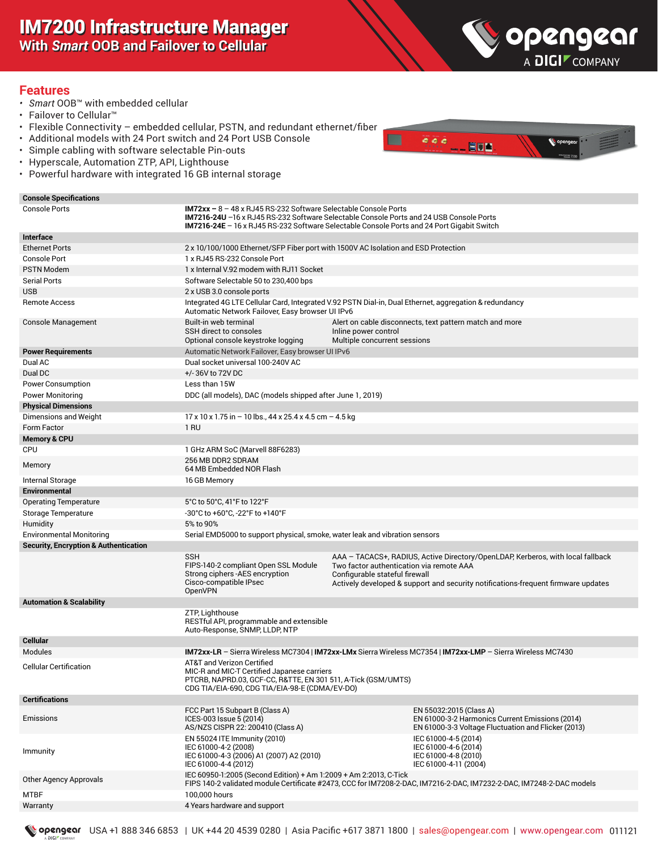IM7200 Infrastructure Manager **With** *Smart* **OOB and Failover to Cellular**



#### **Features**

- *• Smart* OOB™ with embedded cellular
- Failover to Cellular™
- Flexible Connectivity embedded cellular, PSTN, and redundant ethernet/fiber
- Additional models with 24 Port switch and 24 Port USB Console
- Simple cabling with software selectable Pin-outs
- Hyperscale, Automation ZTP, API, Lighthouse
- Powerful hardware with integrated 16 GB internal storage



| <b>Console Specifications</b>                    |                                                                                                                                                                                                                                                                  |                                                                            |                                                                                                                                                                      |
|--------------------------------------------------|------------------------------------------------------------------------------------------------------------------------------------------------------------------------------------------------------------------------------------------------------------------|----------------------------------------------------------------------------|----------------------------------------------------------------------------------------------------------------------------------------------------------------------|
| <b>Console Ports</b>                             | $IM72xx - 8 - 48x RJ45 RS-232 Software Selectable Console Ports$<br>IM7216-24U -16 x RJ45 RS-232 Software Selectable Console Ports and 24 USB Console Ports<br><b>IM7216-24E</b> – 16 x RJ45 RS-232 Software Selectable Console Ports and 24 Port Gigabit Switch |                                                                            |                                                                                                                                                                      |
| Interface                                        |                                                                                                                                                                                                                                                                  |                                                                            |                                                                                                                                                                      |
| <b>Ethernet Ports</b>                            | 2 x 10/100/1000 Ethernet/SFP Fiber port with 1500V AC Isolation and ESD Protection                                                                                                                                                                               |                                                                            |                                                                                                                                                                      |
| <b>Console Port</b>                              | 1 x RJ45 RS-232 Console Port                                                                                                                                                                                                                                     |                                                                            |                                                                                                                                                                      |
| <b>PSTN Modem</b>                                | 1 x Internal V.92 modem with RJ11 Socket                                                                                                                                                                                                                         |                                                                            |                                                                                                                                                                      |
| <b>Serial Ports</b>                              | Software Selectable 50 to 230,400 bps                                                                                                                                                                                                                            |                                                                            |                                                                                                                                                                      |
| <b>USB</b>                                       | 2 x USB 3.0 console ports                                                                                                                                                                                                                                        |                                                                            |                                                                                                                                                                      |
| <b>Remote Access</b>                             | Integrated 4G LTE Cellular Card, Integrated V.92 PSTN Dial-in, Dual Ethernet, aggregation & redundancy<br>Automatic Network Failover, Easy browser UI IPv6                                                                                                       |                                                                            |                                                                                                                                                                      |
| <b>Console Management</b>                        | Built-in web terminal<br>SSH direct to consoles<br>Optional console keystroke logging                                                                                                                                                                            | Inline power control<br>Multiple concurrent sessions                       | Alert on cable disconnects, text pattern match and more                                                                                                              |
| <b>Power Requirements</b>                        | Automatic Network Failover, Easy browser UI IPv6                                                                                                                                                                                                                 |                                                                            |                                                                                                                                                                      |
| Dual AC                                          | Dual socket universal 100-240V AC                                                                                                                                                                                                                                |                                                                            |                                                                                                                                                                      |
| Dual DC                                          | +/-36V to 72V DC                                                                                                                                                                                                                                                 |                                                                            |                                                                                                                                                                      |
| <b>Power Consumption</b>                         | Less than 15W                                                                                                                                                                                                                                                    |                                                                            |                                                                                                                                                                      |
| <b>Power Monitoring</b>                          | DDC (all models), DAC (models shipped after June 1, 2019)                                                                                                                                                                                                        |                                                                            |                                                                                                                                                                      |
| <b>Physical Dimensions</b>                       |                                                                                                                                                                                                                                                                  |                                                                            |                                                                                                                                                                      |
| Dimensions and Weight                            | $17 \times 10 \times 1.75$ in $-10$ lbs., 44 x 25.4 x 4.5 cm $-4.5$ kg                                                                                                                                                                                           |                                                                            |                                                                                                                                                                      |
| <b>Form Factor</b>                               | 1 RU                                                                                                                                                                                                                                                             |                                                                            |                                                                                                                                                                      |
| <b>Memory &amp; CPU</b>                          |                                                                                                                                                                                                                                                                  |                                                                            |                                                                                                                                                                      |
| CPU                                              | 1 GHz ARM SoC (Marvell 88F6283)<br>256 MB DDR2 SDRAM                                                                                                                                                                                                             |                                                                            |                                                                                                                                                                      |
| Memory                                           | 64 MB Embedded NOR Flash                                                                                                                                                                                                                                         |                                                                            |                                                                                                                                                                      |
| Internal Storage                                 | 16 GB Memory                                                                                                                                                                                                                                                     |                                                                            |                                                                                                                                                                      |
| <b>Environmental</b>                             |                                                                                                                                                                                                                                                                  |                                                                            |                                                                                                                                                                      |
| <b>Operating Temperature</b>                     | 5°C to 50°C, 41°F to 122°F                                                                                                                                                                                                                                       |                                                                            |                                                                                                                                                                      |
| Storage Temperature                              | -30°C to +60°C, -22°F to +140°F                                                                                                                                                                                                                                  |                                                                            |                                                                                                                                                                      |
| Humidity                                         | 5% to 90%                                                                                                                                                                                                                                                        |                                                                            |                                                                                                                                                                      |
| <b>Environmental Monitoring</b>                  | Serial EMD5000 to support physical, smoke, water leak and vibration sensors                                                                                                                                                                                      |                                                                            |                                                                                                                                                                      |
| <b>Security, Encryption &amp; Authentication</b> |                                                                                                                                                                                                                                                                  |                                                                            |                                                                                                                                                                      |
|                                                  | <b>SSH</b><br>FIPS-140-2 compliant Open SSL Module<br>Strong ciphers - AES encryption<br>Cisco-compatible IPsec<br>OpenVPN                                                                                                                                       | Two factor authentication via remote AAA<br>Configurable stateful firewall | AAA - TACACS+, RADIUS, Active Directory/OpenLDAP, Kerberos, with local fallback<br>Actively developed & support and security notifications-frequent firmware updates |
| <b>Automation &amp; Scalability</b>              |                                                                                                                                                                                                                                                                  |                                                                            |                                                                                                                                                                      |
|                                                  | ZTP, Lighthouse<br>RESTful API, programmable and extensible<br>Auto-Response, SNMP, LLDP, NTP                                                                                                                                                                    |                                                                            |                                                                                                                                                                      |
| <b>Cellular</b>                                  |                                                                                                                                                                                                                                                                  |                                                                            |                                                                                                                                                                      |
| Modules                                          | IM72xx-LR - Sierra Wireless MC7304   IM72xx-LMx Sierra Wireless MC7354   IM72xx-LMP - Sierra Wireless MC7430                                                                                                                                                     |                                                                            |                                                                                                                                                                      |
| <b>Cellular Certification</b>                    | <b>AT&amp;T and Verizon Certified</b><br>MIC-R and MIC-T Certified Japanese carriers<br>PTCRB, NAPRD.03, GCF-CC, R&TTE, EN 301 511, A-Tick (GSM/UMTS)<br>CDG TIA/EIA-690, CDG TIA/EIA-98-E (CDMA/EV-DO)                                                          |                                                                            |                                                                                                                                                                      |
| <b>Certifications</b>                            |                                                                                                                                                                                                                                                                  |                                                                            |                                                                                                                                                                      |
| Emissions                                        | FCC Part 15 Subpart B (Class A)<br>ICES-003 Issue 5 (2014)<br>AS/NZS CISPR 22: 200410 (Class A)                                                                                                                                                                  |                                                                            | EN 55032:2015 (Class A)<br>EN 61000-3-2 Harmonics Current Emissions (2014)<br>EN 61000-3-3 Voltage Fluctuation and Flicker (2013)                                    |
| Immunity                                         | EN 55024 ITE Immunity (2010)<br>IEC 61000-4-2 (2008)<br>IEC 61000-4-3 (2006) A1 (2007) A2 (2010)<br>IEC 61000-4-4 (2012)                                                                                                                                         |                                                                            | IEC 61000-4-5 (2014)<br>IEC 61000-4-6 (2014)<br>IEC 61000-4-8 (2010)<br>IEC 61000-4-11 (2004)                                                                        |
| Other Agency Approvals                           | IEC 60950-1:2005 (Second Edition) + Am 1:2009 + Am 2:2013, C-Tick                                                                                                                                                                                                |                                                                            | FIPS 140-2 validated module Certificate #2473. CCC for IM7208-2-DAC. IM7216-2-DAC. IM7232-2-DAC. IM7248-2-DAC models                                                 |
| <b>MTBF</b>                                      | 100,000 hours                                                                                                                                                                                                                                                    |                                                                            |                                                                                                                                                                      |
| Warranty                                         | 4 Years hardware and support                                                                                                                                                                                                                                     |                                                                            |                                                                                                                                                                      |